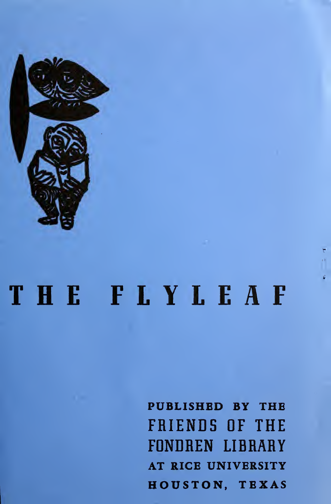PUBLISHED BY THE FRIENDS OF THE FONDHEN LIBRARY AT RICE UNIVERSITY HOUSTON, TEXAS

# THE FIYIEAF

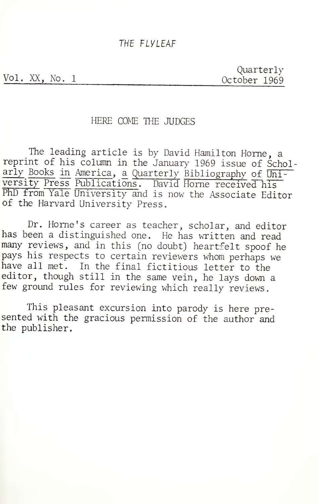## THE FLYLEAF

Vol. XX, No. <sup>1</sup> October 1969

Quarterly

#### HERE COME THE JUDGES

The leading article is by David Hamilton Horne, a reprint of his column in the January 1969 issue of Scholarly Books in America, <sup>a</sup> Quarterly Bibliography of University Press Publications. David Horne received his PhD from Yale University and is now the Associate Editor of the Harvard University Press.

Dr. Home's career as teacher, scholar, and editor has been a distinguished one. He has written and read many reviews, and in this (no doubt) heartfelt spoof he pays his respects to certain reviewers whom perhaps we have all met. In the final fictitious letter to the editor, though still in the same vein, he lays down a few ground rules for reviewing which really reviews.

This pleasant excursion into parody is here presented with the gracious permission of the author and the publisher.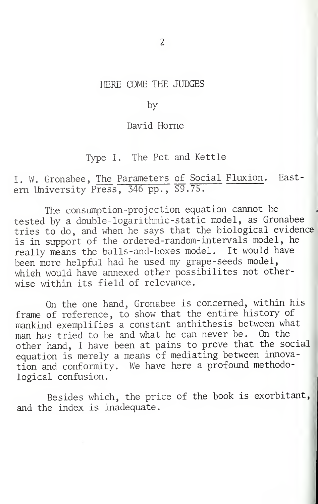### HERE COME THE JUDGES

by

#### David Home

#### Type I. The Pot and Kettle

I. W. Gronabee, The Parameters of Social Fluxion. Eastern University Press, 346 pp., \$9.75.

The consumption-projection equation cannot be tested by a double -logarithmic- static model, as Gronabee tries to do, and when he says that the biological evidence is in support of the ordered-random-intervals model, he really means the balls-and-boxes model. It would have been more helpful had he used my grape-seeds model, which would have annexed other possibilites not otherwise within its field of relevance.

On the one hand, Gronabee is concerned, within his frame of reference, to show that the entire history of mankind exemplifies a constant anthithesis between what man has tried to be and what he can never be. On the other hand, <sup>I</sup> have been at pains to prove that the social equation is merely a means of mediating between innovation and conformity. We have here a profound methodological confusion.

Besides which, the price of the book is exorbitant, and the index is inadequate.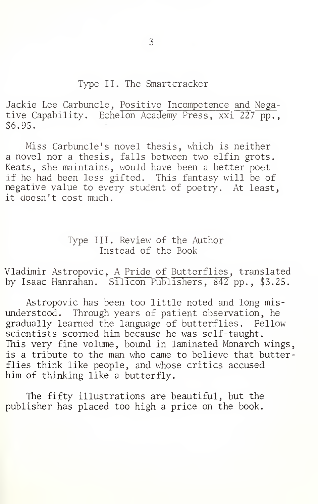#### Type II. The Smartcracker

Jackie Lee Carbuncle, Positive Incompetence and Negative Capability. Echelon Academy Press, xxi 227 pp., \$6.95.

Miss Carbuncle's novel thesis, which is neither a novel nor a thesis, falls between two elfin grots. Keats, she maintains, would have been a better poet if he had been less gifted. This fantasy will be of negative value to every student of poetry. At least, it doesn't cost much.

#### Type III. Review of the Author Instead of the Book

Vladimir Astropovic, A Pride of Butterflies, translated by Isaac Hanrahan. Silicon Publishers, 842 pp., \$3.25.

Astropovic has been too little noted and long misunderstood. Through years of patient observation, he gradually learned the language of butterflies. Fellow scientists scorned him because he was self-taught. This very fine volume, bound in laminated Monarch wings, is a tribute to the man who came to believe that butterflies think like people, and whose critics accused him of thinking like a butterfly.

The fifty illustrations are beautiful, but the publisher has placed too high a price on the book.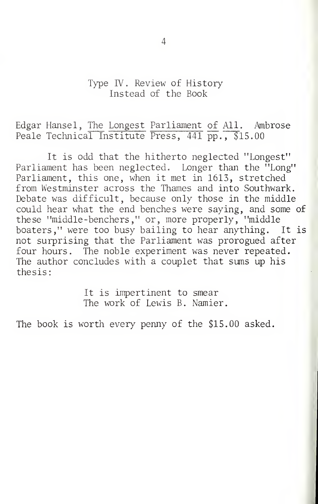#### Type IV. Review o£ History Instead o£ the Book

Edgar Hansel, The Longest Parliament of All. Ambrose Peale Technical Institute Press, 441 pp., \$15.00

It is odd that the hitherto neglected "Longest" Parliament has been neglected. Longer than the "Long" Parliament, this one, when it met in 1613, stretched from Westminster across the Thames and into Southwark. Debate was difficult, because only those in the middle could hear what the end benches were saying, and some of these "middle -benchers," or, more properly, "middle boaters," were too busy bailing to hear anything. It is not surprising that the Parliament was prorogued after four hours. The noble experiment was never repeated. The author concludes with a couplet that sums up his thesis

> It is impertinent to smear The work of Lewis B. Namier.

The book is worth every penny of the \$15.00 asked.

 $\overline{4}$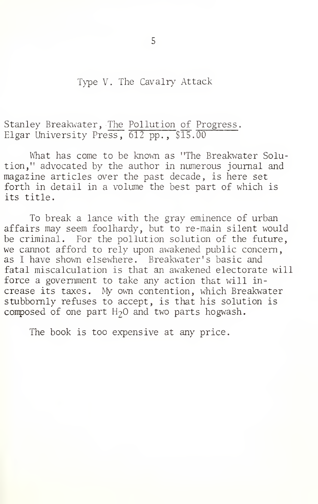#### Type V. The Cavalry Attack

Stanley Breakwater, The Pollution of Progress . Elgar University Press, 612 pp. , \$15.00

What has come to be known as "The Breakwater Solution," advocated by the author in numerous journal and magazine articles over the past decade, is here set forth in detail in a volume the best part of which is its title.

To break a lance with the gray eminence of urban affairs may seem foolhardy, but to re-main silent would be criminal. For the pollution solution of the future, we cannot afford to rely upon awakened public concern, as <sup>I</sup> have shown elsewhere. Breakwater's basic and fatal miscalculation is that an awakened electorate will force a government to take any action that will in crease its taxes. My own contention, which Breakwater stubbornly refuses to accept, is that his solution is composed of one part  $H<sub>2</sub>O$  and two parts hogwash.

The book is too expensive at any price.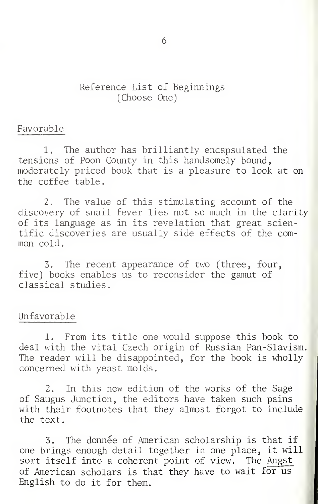### Reference List of Beginnings (Choose One)

#### Favorable

1. The author has brilliantly encapsulated the tensions of Poon County in this handsomely bound, moderately priced book that is a pleasure to look at on the coffee table.

2. The value of this stimulating account of the discovery of snail fever lies not so much in the clarity of its language as in its revelation that great scientific discoveries are usually side effects of the com mon cold.

3. The recent appearance of two (three, four, five) books enables us to reconsider the gamut of classical studies.

#### Unfavorable

1. From its title one would suppose this book to deal with the vital Czech origin of Russian Pan-Slavism. The reader will be disappointed, for the book is wholly concerned with yeast molds.

2. In this new edition of the works of the Sage of Saugus Junction, the editors have taken such pains with their footnotes that they almost forgot to include the text.

3. The donnée of American scholarship is that if one brings enough detail together in one place, it will sort itself into a coherent point of view. The Angst of American scholars is that they have to wait for us English to do it for them.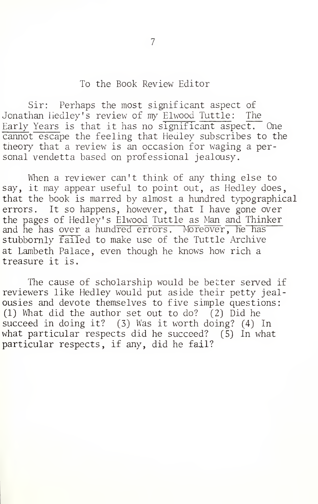#### To the Book Review Editor

Sir: Perhaps the most significant aspect of Jonathan Hedley's review of my Elwood Tuttle: The Early Years is that it has no significant aspect. One cannot escape the feeling that Healey subscribes to the theory that a review is an occasion for waging a personal vendetta based on professional jealousy.

When a reviewer can't think of any thing else to say, it may appear useful to point out, as Hedley does, that the book is marred by almost a hundred typographical errors. It so happens, however, that <sup>I</sup> have gone over the pages of Hedley's Elwood Tuttle as Man and Thinker and he has over a hundred errors. Moreover, he has stubbornly failed to make use of the Tuttle Archive at Lambeth Palace, even though he knows how rich a treasure it is.

The cause of scholarship would be better served if reviewers like Hedley would put aside their petty jealousies and devote themselves to five simple questions: (1) What did the author set out to do? (2) Did he succeed in doing it? (3) Was it worth doing? (4) In what particular respects did he succeed? (5) In what particular respects, if any, did he fail?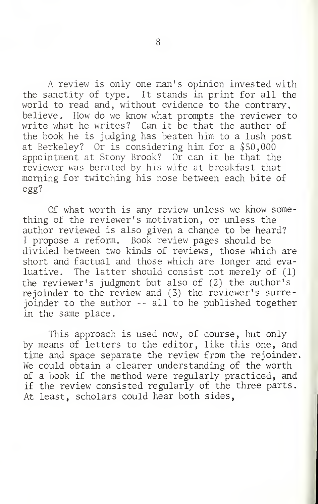A review is only one man's opinion invested with the sanctity of type. It stands in print for all the world to read and, without evidence to the contrary, believe . How do we know what prompts the reviewer to write what he writes? Can it be that the author of the book he is judging has beaten him to a lush post at Berkeley? Or is considering him for a \$50,000 appointment at Stony Brook? Or can it be that the reviewer was berated by his wife at breakfast that morning for twitching his nose between each bite of egg?

Of what worth is any review unless we know some thing of the reviewer's motivation, or unless the author reviewed is also given a chance to be heard? <sup>I</sup> propose a reform. Book review pages should be divided between two kinds of reviews, those which are short and factual and those which are longer and eva luative. The latter should consist not merely of (1) the reviewer's judgment but also of (2) the author's rejoinder to the review and (3) the reviewer's surrejoinder to the author -- all to be published together in the same place

This approach is used now, of course, but only by means of letters to the editor, like this one, and time and space separate the review from the rejoinder, We could obtain a clearer understanding of the worth of a book if the method were regularly practiced, and if the review consisted regularly of the three parts. At least, scholars could hear both sides,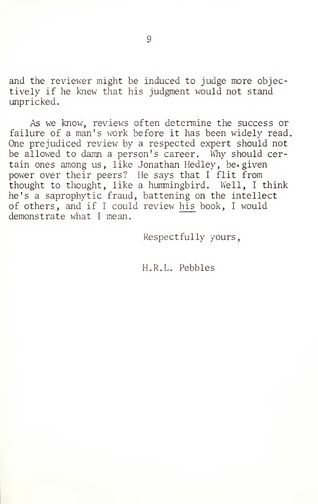and the reviewer might be induced to judge more objectively if he knew that his judgment would not stand unpricked.

As we know, reviews often determine the success or failure of a man's work before it has been widely read. One prejudiced review by a respected expert should not be allowed to damn a person's career. Why should cer tain ones among us, like Jonathan Hedley, be given power over their peers? He says that <sup>I</sup> flit from thought to thought, like a hummingbird. Well, <sup>I</sup> think he's a saprophytic fraud, battening on the intellect of others, and if <sup>I</sup> could review his book, <sup>I</sup> would demonstrate what <sup>I</sup> mean.

Respectfully yours,

H.R.L. Pebbles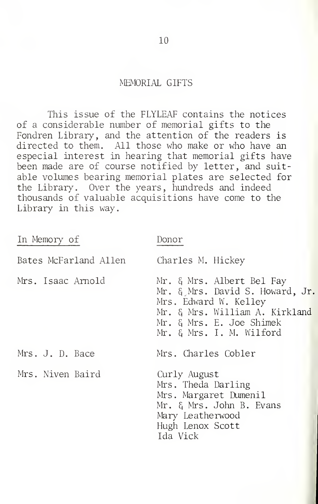#### MEMORIAL GIFTS

This issue of the FLYLEAF contains the notices of a considerable number of memorial gifts to the Fondren Library, and the attention of the readers is directed to them. All those who make or who have an especial interest in hearing that memorial gifts have been made are of course notified by letter, and suitable volumes bearing memorial plates are selected for the Library. Over the years, hundreds and indeed thousands of valuable acquisitions have come to the Library in this way.

| Donor                                                                                                                                                                           |
|---------------------------------------------------------------------------------------------------------------------------------------------------------------------------------|
| Charles M. Hickey                                                                                                                                                               |
| Mr. & Mrs. Albert Bel Fay<br>Mr. & Mrs. David S. Howard, Jr.<br>Mrs. Edward W. Kelley<br>Mr. & Mrs. William A. Kirkland<br>Mr. & Mrs. E. Joe Shimek<br>Mr. & Mrs. I. M. Wilford |
| Mrs. Charles Cobler                                                                                                                                                             |
| Curly August<br>Mrs. Theda Darling<br>Mrs. Margaret Dumenil<br>Mr. & Mrs. John B. Evans<br>Mary Leatherwood<br>Hugh Lenox Scott<br>Ida Vick                                     |
|                                                                                                                                                                                 |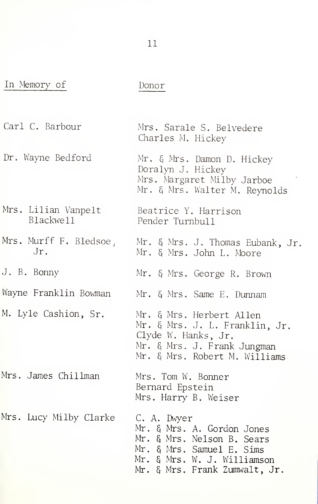## In Memory of Donor

- Carl C. Barbour
- Dr. Wayne Bedford
- Mrs. Lilian Vanpelt Blackwell
- Mrs. Murff F. Bledsoe Jr.
- J. B. Bonny
- Wayne Franklin Bowman
- M. Lyle Cashion, Sr.

Mrs. James Chillman

Mrs. Lucy Milby Clarke

- 
- Mrs. Sarale S. Belvedere Charles M. Hickey
- Mr. § Mrs. Damon D. Hickey Doralyn J. Hickey Mrs. Margaret Milby Jarboe Mr. & Mrs. Walter M. Reynolds
	- Beatrice Y. Harrison Pender Turnbull
- Mr. & Mrs. J. Thomas Eubank, Jr. Mr. & Mrs. John L. Moore
	- Mr. § Mrs. George R. Brown
- Mr. & Mrs. Same E. Dunnam
- Mr. § Mrs. Herbert Allen Mr. § Mrs. J. L. Franklin, Jr. Clyde W. Hanks, Jr. Mr.  $\xi$  Mrs. J. Frank Jungman Mr. & Mrs. Robert M. Williams
- Mrs. Tom W. Bonner Bernard Epstein Mrs. Harry B. Weiser
- C. A. Dwyer Mr. § Mrs. A. Gordon Jones Mr. § Mrs. Nelson B. Sears Mr. & Mrs. Samuel E. Sims Mr. § Mrs. W. J. Williamson Mr. § Mrs. Frank Zumwalt, Jr.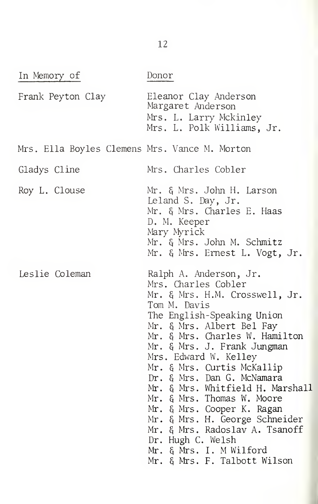| In Memory of                                  | Donor                                                                                                                                                                                                                                                                                                                                                                                                                                                                                                                                                                |
|-----------------------------------------------|----------------------------------------------------------------------------------------------------------------------------------------------------------------------------------------------------------------------------------------------------------------------------------------------------------------------------------------------------------------------------------------------------------------------------------------------------------------------------------------------------------------------------------------------------------------------|
| Frank Peyton Clay                             | Eleanor Clay Anderson<br>Margaret Anderson<br>Mrs. L. Larry Mckinley<br>Mrs. L. Polk Williams, Jr.                                                                                                                                                                                                                                                                                                                                                                                                                                                                   |
| Mrs. Ella Boyles Clemens Mrs. Vance M. Morton |                                                                                                                                                                                                                                                                                                                                                                                                                                                                                                                                                                      |
| Gladys Cline                                  | Mrs. Charles Cobler                                                                                                                                                                                                                                                                                                                                                                                                                                                                                                                                                  |
| Roy L. Clouse                                 | Mr. & Mrs. John H. Larson<br>Leland S. Day, Jr.<br>Mr. & Mrs. Charles E. Haas<br>D. M. Keeper<br>Mary Myrick<br>Mr. & Mrs. John M. Schmitz<br>Mr. & Mrs. Ernest L. Vogt, Jr.                                                                                                                                                                                                                                                                                                                                                                                         |
| Leslie Coleman                                | Ralph A. Anderson, Jr.<br>Mrs. Charles Cobler<br>Mr. & Mrs. H.M. Crosswell, Jr.<br>Tom M. Davis<br>The English-Speaking Union<br>Mr. & Mrs. Albert Bel Fay<br>Mr. & Mrs. Charles W. Hamilton<br>Mr. & Mrs. J. Frank Jungman<br>Mrs. Edward W. Kelley<br>Mr. & Mrs. Curtis McKallip<br>Dr. & Mrs. Dan G. McNamara<br>Mr. & Mrs. Whitfield H. Marshall<br>Mr. & Mrs. Thomas W. Moore<br>Mr. & Mrs. Cooper K. Ragan<br>Mr. & Mrs. H. George Schneider<br>Mr. & Mrs. Radoslav A. Tsanoff<br>Dr. Hugh C. Welsh<br>Mr. & Mrs. I. M Wilford<br>Mr. & Mrs. F. Talbott Wilson |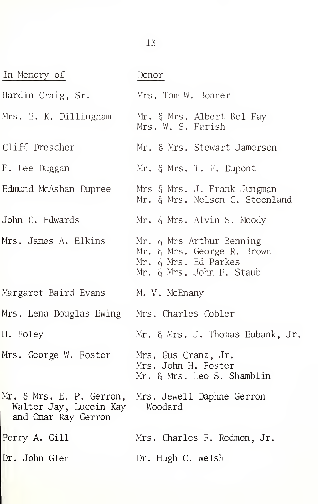| In Memory of                                          | Donor                                                                                                      |
|-------------------------------------------------------|------------------------------------------------------------------------------------------------------------|
| Hardin Craig, Sr.                                     | Mrs. Tom W. Bonner                                                                                         |
| Mrs. E. K. Dillingham                                 | Mr. & Mrs. Albert Bel Fay<br>Mrs. W. S. Farish                                                             |
| Cliff Drescher                                        | Mr. & Mrs. Stewart Jamerson                                                                                |
| F. Lee Duggan                                         | Mr. & Mrs. T. F. Dupont                                                                                    |
| Edmund McAshan Dupree                                 | Mrs & Mrs. J. Frank Jungman<br>Mr. & Mrs. Nelson C. Steenland                                              |
| John C. Edwards                                       | Mr. & Mrs. Alvin S. Moody                                                                                  |
| Mrs. James A. Elkins                                  | Mr. & Mrs Arthur Benning<br>Mr. & Mrs. George R. Brown<br>Mr. & Mrs. Ed Parkes<br>Mr. & Mrs. John F. Staub |
| Margaret Baird Evans M. V. McEnany                    |                                                                                                            |
| Mrs. Lena Douglas Ewing Mrs. Charles Cobler           |                                                                                                            |
| H. Foley                                              | Mr. & Mrs. J. Thomas Eubank, Jr.                                                                           |
| Mrs. George W. Foster                                 | Mrs. Gus Cranz, Jr.<br>Mrs. John H. Foster<br>Mr. & Mrs. Leo S. Shamblin                                   |
| Walter Jay, Lucein Kay Woodard<br>and Omar Ray Gerron | Mr. & Mrs. E. P. Gerron, Mrs. Jewell Daphne Gerron                                                         |
| Perry A. Gill                                         | Mrs. Charles F. Redmon, Jr.                                                                                |
| Dr. John Glen                                         | Dr. Hugh C. Welsh                                                                                          |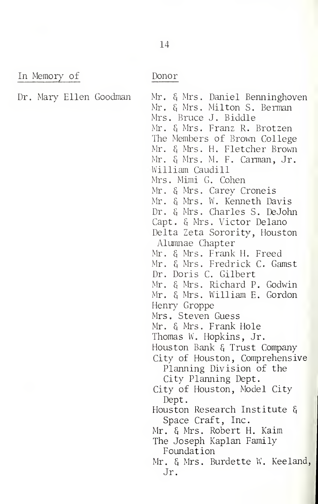In Memory of Donor

Dr. Mary Ellen Goodman Mr. & Mrs. Daniel Benninghoven Mr. & Mrs. Milton S. Berman Mrs. Bruce J. Biddle Mr. & Mrs. Franz R. Brotzen The Members of Brown College Mr. 5 Mrs. H. Fletcher Brown Mr. 5 Mrs. M. F. Carman, Jr. William Caudill Mrs. Mimi G. Cohen Mr. & Mrs. Carey Croneis Mr. 5 Mrs. W. Kenneth Davis Dr. & Mrs. Charles S. DeJohn Capt. & Mrs. Victor Delano Delta Zeta Sorority, Houston Alumnae Chapter Mr. § Mrs. Frank H. Freed Mr. § Mrs. Fredrick C. Gamst Dr. Doris C. Gilbert Mr. & Mrs. Richard P. Godwin Mr. & Mrs. William E. Gordon Henry Groppe Mrs. Steven Guess Mr. & Mrs. Frank Hole Thomas W. Hopkins, Jr. Houston Bank & Trust Company City of Houston, Comprehensive Planning Division of the City Planning Dept. City of Houston, Model City Dept. Houston Research Institute & Space Craft, Inc. Mr. & Mrs. Robert H. Kaim The Joseph Kaplan Family Foundation Mr. & Mrs. Burdette W. Keeland, Jr.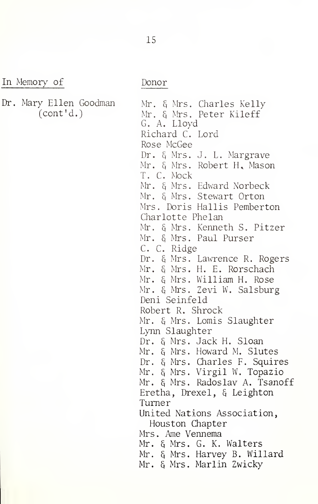Dr. Mary Ellen Goodman (cont'd.)

Mr. 5 Mrs. Charles Kelly Mr. & Mrs. Peter Kileff G. A. Lloyd Richard C. Lord Rose McGee Dr. & Mrs. J. L. Margrave Mr. & Mrs. Robert H. Mason T. C. Mock Mr. & Mrs. Edward Norbeck Mr. & Mrs. Stewart Orton Mrs. Doris Hallis Pemberton Charlotte Phelan Mr. & Mrs. Kenneth S. Pitzer Mr. & Mrs. Paul Purser C. C. Ridge Dr. & Mrs. Lawrence R. Rogers Mr. & Mrs. H. E. Rorschach Mr. & Mrs. William H. Rose Mr. & Mrs. Zevi W. Salsburg Deni Seinfeld Robert R. Shrock Mr. & Mrs. Lomis Slaughter Lynn Slaughter Dr. & Mrs. Jack H. Sloan Mr. § Mrs. Howard M. Slutes Dr. & Mrs. Charles F. Squires Mr. & Mrs. Virgil W. Topazio Mr. § Mrs. Radoslav A. Tsanoff Eretha, Drexel, & Leighton Turner United Nations Association, Houston Chapter Mrs. Ame Vennema Mr. & Mrs. G. K. Walters Mr. & Mrs. Harvey B. Willard Mr. § Mrs. Marlin Zwicky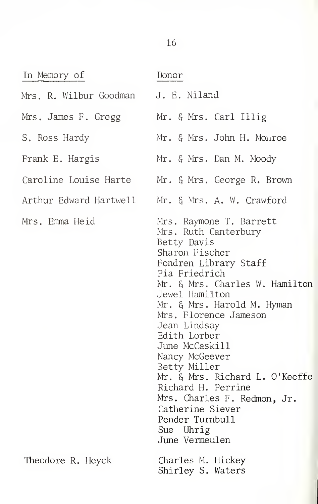In Memory of

Mrs. R. Wilbur Goodman

Mrs. James F. Gregg

S. Ross Hardy

Frank E. Hargis

Caroline Louise Harte

Arthur Edward Hartwell

Mrs. Emma Heid

Donor

- J. E. Niland
- Mr. 5 Mrs. Carl Illig
- Mr. & Mrs. John H. Monroe
- Mr. & Mrs. Dan M. Moody
- Mr. § Mrs. George R. Brown \
- Mr. § Mrs. A. W. Crawford

Mrs. Raymone T. Barrett Mrs. Ruth Canterbury Betty Davis Sharon Fischer Fondren Library Staff Pia Friedrich Mr.  $\xi$  Mrs. Charles W. Hamilton Jewel Hamilton Mr. & Mrs. Harold M. Hyman Mrs. Florence Jameson Jean Lindsay Edith Lorber June McCaskill Nancy McGeever Betty Miller Mr. § Mrs. Richard L. O'Keeffe Richard H. Perrine Mrs. Charles F. Redmon, Jr. Catherine Siever Pender Tumbull Sue Uhrig June Vermeulen

Theodore R. Heyck Charles M. Hickey Shirley S. Waters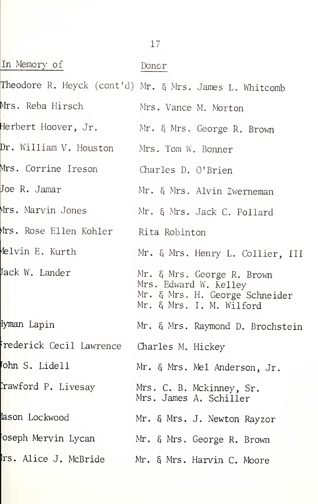|                                                   | 17                                                                                                                |
|---------------------------------------------------|-------------------------------------------------------------------------------------------------------------------|
| In Memory of                                      | Donor                                                                                                             |
|                                                   | Theodore R. Heyck (cont'd) Mr. & Mrs. James L. Whitcomb                                                           |
| Mrs. Reba Hirsch                                  | Mrs. Vance M. Morton                                                                                              |
| Herbert Hoover, Jr.                               | Mr. & Mrs. George R. Brown                                                                                        |
| $\mathop{\text{Dr.}}\nolimits$ William V. Houston | Mrs. Tom W. Bonner                                                                                                |
| Mrs. Corrine Ireson                               | Charles D. O'Brien                                                                                                |
| Joe R. Jamar                                      | Mr. & Mrs. Alvin Zwerneman                                                                                        |
| Mrs. Marvin Jones                                 | Mr. & Mrs. Jack C. Pollard                                                                                        |
| Mrs. Rose Ellen Kohler                            | Rita Robinton                                                                                                     |
| elvin E. Kurth                                    | Mr. & Mrs. Henry L. Collier, III                                                                                  |
| Jack W. Lander                                    | Mr. & Mrs. George R. Brown<br>Mrs. Edward W. Kelley<br>Mr. & Mrs. H. George Schneider<br>Mr. & Mrs. I. M. Wilford |
| lyman Lapin                                       | Mr. & Mrs. Raymond D. Brochstein                                                                                  |
| rederick Cecil Lawrence Charles M. Hickey         |                                                                                                                   |
| Ohn S. Lide11                                     | Mr. & Mrs. Mel Anderson, Jr.                                                                                      |
| rawford P. Livesay                                | Mrs. C. B. Mckinney, Sr.<br>Mrs. James A. Schiller                                                                |
| lason Lockwood                                    | Mr. & Mrs. J. Newton Rayzor                                                                                       |
| oseph Mervin Lycan                                | Mr. & Mrs. George R. Brown                                                                                        |
|                                                   | Irs. Alice J. McBride Mr. & Mrs. Harvin C. Moore                                                                  |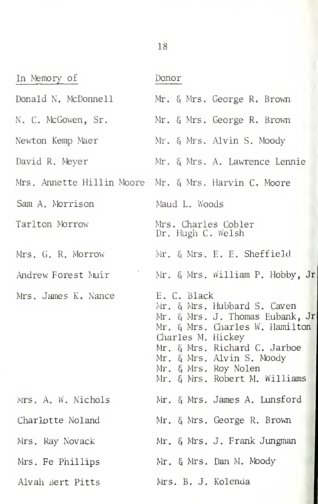| In Memory of        | Donor                                                                                                                                                                                                                                                      |
|---------------------|------------------------------------------------------------------------------------------------------------------------------------------------------------------------------------------------------------------------------------------------------------|
| Donald N. McDonnell | Mr. & Mrs. George R. Brown                                                                                                                                                                                                                                 |
| N. C. McGowen, Sr.  | Mr. & Mrs. George R. Brown                                                                                                                                                                                                                                 |
| Newton Kemp Maer    | Mr. & Mrs. Alvin S. Moody                                                                                                                                                                                                                                  |
| David R. Meyer      | Mr. & Mrs. A. Lawrence Lennie                                                                                                                                                                                                                              |
|                     | Mrs. Annette Hillin Moore Mr. & Mrs. Harvin C. Moore                                                                                                                                                                                                       |
| Sam A. Morrison     | Maud L. Woods                                                                                                                                                                                                                                              |
| Tarlton Morrow      | Mrs. Charles Cobler<br>Dr. Hugh C. Welsh                                                                                                                                                                                                                   |
| Mrs. G. R. Morrow   | Mr. & Mrs. E. E. Sheffield                                                                                                                                                                                                                                 |
| Andrew Forest Muir  | Mr. & Mrs. William P. Hobby, Jr.                                                                                                                                                                                                                           |
| Mrs. James K. Nance | E. C. Black<br>Mr. & Mrs. Hubbard S. Caven<br>Mr. & Mrs. J. Thomas Eubank, Jr<br>Mr. & Mrs. Charles W. Hamilton<br>Charles M. Hickey<br>Mr. & Mrs. Richard C. Jarboe<br>Mr. & Mrs. Alvin S. Moody<br>Mr. & Mrs. Roy Nolen<br>Mr. & Mrs. Robert M. Williams |
| Mrs. A. W. Nichols  | Mr. & Mrs. James A. Lunsford                                                                                                                                                                                                                               |
| Charlotte Noland    | Mr. & Mrs. George R. Brown                                                                                                                                                                                                                                 |
| Mrs. Ray Novack     | Mr. & Mrs. J. Frank Jungman                                                                                                                                                                                                                                |
| Mrs. Fe Phillips    | Mir. & Mrs. Dan M. Moody                                                                                                                                                                                                                                   |
| Alvah Bert Pitts    | Mrs. B. J. Kolenda                                                                                                                                                                                                                                         |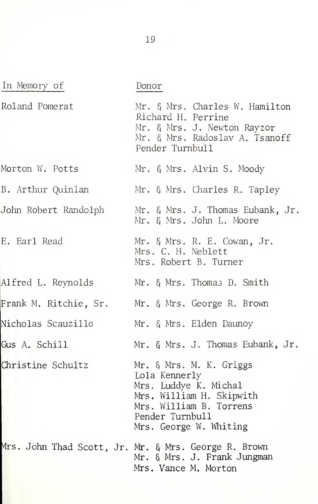| In Memory of          | Donor                                                                                                                                                                 |
|-----------------------|-----------------------------------------------------------------------------------------------------------------------------------------------------------------------|
| Roland Pomerat        | Mr. & Mrs. Charles W. Hamilton<br>Richard H. Perrine<br>Mr. & Mrs. J. Newton Rayzor<br>Mr. & Mrs. Radoslav A. Tsanoff<br>Pender Turnbull                              |
| Morton W. Potts       | Mr. & Mrs. Alvin S. Moody                                                                                                                                             |
| B. Arthur Quinlan     | Mr. & Mrs. Charles R. Tapley                                                                                                                                          |
| John Robert Randolph  | Mr. & Mrs. J. Thomas Eubank, Jr.<br>Mr. & Mrs. John L. Moore                                                                                                          |
| E. Earl Read          | Mr. & Mrs. R. E. Cowan, Jr.<br>Mrs. C. H. Neblett<br>Mrs. Robert B. Turner                                                                                            |
| Alfred L. Reynolds    | Mr. & Mrs. Thomas D. Smith                                                                                                                                            |
| Frank M. Ritchie, Sr. | Mr. & Mrs. George R. Brown                                                                                                                                            |
| Nicholas Scauzillo    | Mr. & Mrs. Elden Daunoy                                                                                                                                               |
| Gus A. Schill         | Mr. & Mrs. J. Thomas Eubank, Jr.                                                                                                                                      |
| Christine Schultz     | Mr. & Mrs. M. K. Griggs<br>Lola Kennerly<br>Mrs. Luddye K. Michal<br>Mrs. William H. Skipwith<br>Mrs. William B. Torrens<br>Pender Turnbull<br>Mrs. George W. Whiting |
|                       | Mrs. John Thad Scott, Jr. Mr. & Mrs. George R. Brown<br>Mr. & Mrs. J. Frank Jungman<br>Mrs. Vance M. Morton                                                           |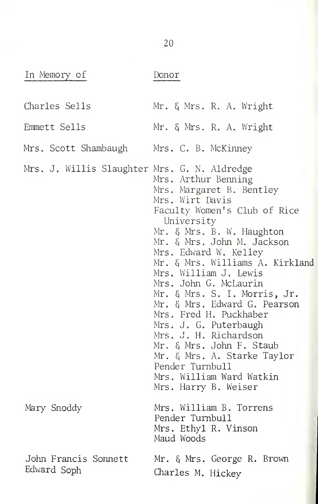| In Memory of                                 | Donor                                                                                                                                                                                                                                                                                                                                                                                                                                                                                                                                                                   |
|----------------------------------------------|-------------------------------------------------------------------------------------------------------------------------------------------------------------------------------------------------------------------------------------------------------------------------------------------------------------------------------------------------------------------------------------------------------------------------------------------------------------------------------------------------------------------------------------------------------------------------|
| Charles Sells                                | Mr. & Mrs. R. A. Wright                                                                                                                                                                                                                                                                                                                                                                                                                                                                                                                                                 |
| Emmett Sells                                 | Mr. & Mrs. R. A. Wright                                                                                                                                                                                                                                                                                                                                                                                                                                                                                                                                                 |
| Mrs. Scott Shambaugh Mrs. C. B. McKinney     |                                                                                                                                                                                                                                                                                                                                                                                                                                                                                                                                                                         |
| Mrs. J. Willis Slaughter Mrs. G. N. Aldredge | Mrs. Arthur Benning<br>Mrs. Margaret B. Bentley<br>Mrs. Wirt Davis<br>Faculty Women's Club of Rice<br>University<br>Mr. & Mrs. B. W. Haughton<br>Mr. & Mrs. John M. Jackson<br>Mrs. Edward W. Kelley<br>Mr. & Mrs. Williams A. Kirkland<br>Mrs. William J. Lewis<br>Mrs. John G. McLaurin<br>Mr. & Mrs. S. I. Morris, Jr.<br>Mr. & Mrs. Edward G. Pearson<br>Mrs. Fred H. Puckhaber<br>Mrs. J. G. Puterbaugh<br>Mrs. J. H. Richardson<br>Mr. & Mrs. John F. Staub<br>Mr. & Mrs. A. Starke Taylor<br>Pender Turnbull<br>Mrs. William Ward Watkin<br>Mrs. Harry B. Weiser |
| Mary Snoddy                                  | Mrs. William B. Torrens<br>Pender Turnbull<br>Mrs. Ethyl R. Vinson<br>Maud Woods                                                                                                                                                                                                                                                                                                                                                                                                                                                                                        |
| John Francis Sonnett<br>Edward Soph          | Mr. & Mrs. George R. Brown<br>Charles M. Hickey                                                                                                                                                                                                                                                                                                                                                                                                                                                                                                                         |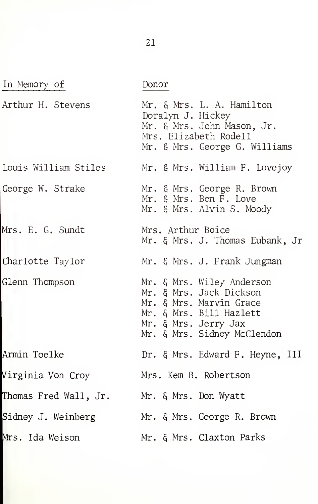| In Memory of          | Donor                                                                                                                                                             |
|-----------------------|-------------------------------------------------------------------------------------------------------------------------------------------------------------------|
| Arthur H. Stevens     | Mr. & Mrs. L. A. Hamilton<br>Doralyn J. Hickey<br>Mr. & Mrs. John Mason, Jr.<br>Mrs. Elizabeth Rodell<br>Mr. & Mrs. George G. Williams                            |
| Louis William Stiles  | Mr. & Mrs. William F. Lovejoy                                                                                                                                     |
| George W. Strake      | Mr. & Mrs. George R. Brown<br>Mr. & Mrs. Ben F. Love<br>Mr. & Mrs. Alvin S. Moody                                                                                 |
| Mrs. E. G. Sundt      | Mrs. Arthur Boice<br>Mr. & Mrs. J. Thomas Eubank, Jr                                                                                                              |
| Charlotte Taylor      | Mr. & Mrs. J. Frank Jungman                                                                                                                                       |
| Glenn Thompson        | Mr. & Mrs. Wiley Anderson<br>Mr. & Mrs. Jack Dickson<br>Mr. & Mrs. Marvin Grace<br>Mr. & Mrs. Bill Hazlett<br>Mr. & Mrs. Jerry Jax<br>Mr. & Mrs. Sidney McClendon |
| Armin Toelke          | Dr. & Mrs. Edward F. Heyne, III                                                                                                                                   |
| Virginia Von Croy     | Mrs. Kem B. Robertson                                                                                                                                             |
| Thomas Fred Wall, Jr. | Mr. & Mrs. Don Wyatt                                                                                                                                              |
| Sidney J. Weinberg    | Mr. & Mrs. George R. Brown                                                                                                                                        |
| Mrs. Ida Weison       | Mr. & Mrs. Claxton Parks                                                                                                                                          |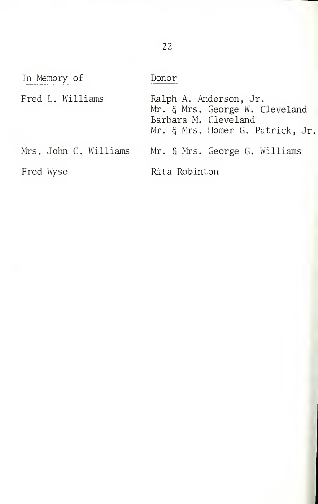| In Memory of          | Donor                                                                                                                |
|-----------------------|----------------------------------------------------------------------------------------------------------------------|
| Fred L. Williams      | Ralph A. Anderson, Jr.<br>Mr. & Mrs. George W. Cleveland<br>Barbara M. Cleveland<br>Mr. & Mrs. Homer G. Patrick, Jr. |
| Mrs. John C. Williams | Mr. & Mrs. George G. Williams                                                                                        |
| Fred Wyse             | Rita Robinton                                                                                                        |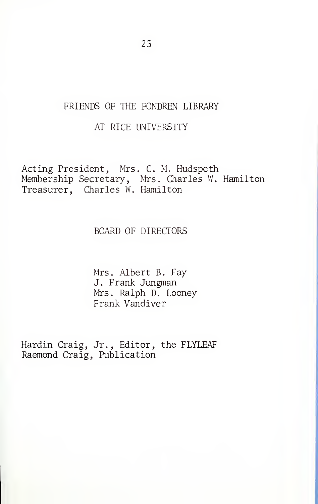#### FRIENDS OF THE FONDREN LIBRARY

### AT RICE UNIVERSITY

Acting President, Mrs. C. M. Hudspeth Membership Secretary, Mrs. Charles W. Hamilton Treasurer, Charles W. Hamilton

BOARD OF DIRECTORS

Mrs. Albert B. Fay J. Frank Jungman Mrs. Ralph D. Looney Frank Vandiver

Hardin Craig, Jr., Editor, the FLYLEAF Raemond Craig, Publication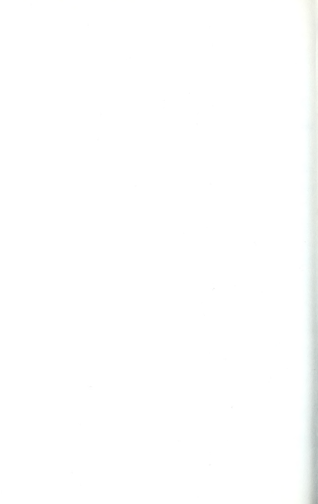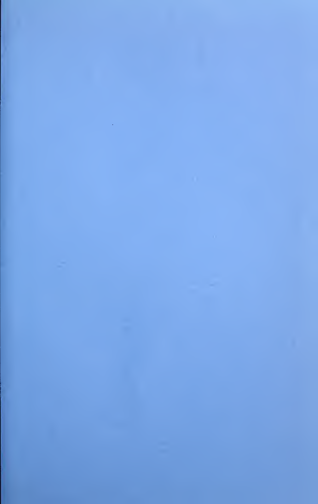

**Contract Contract**